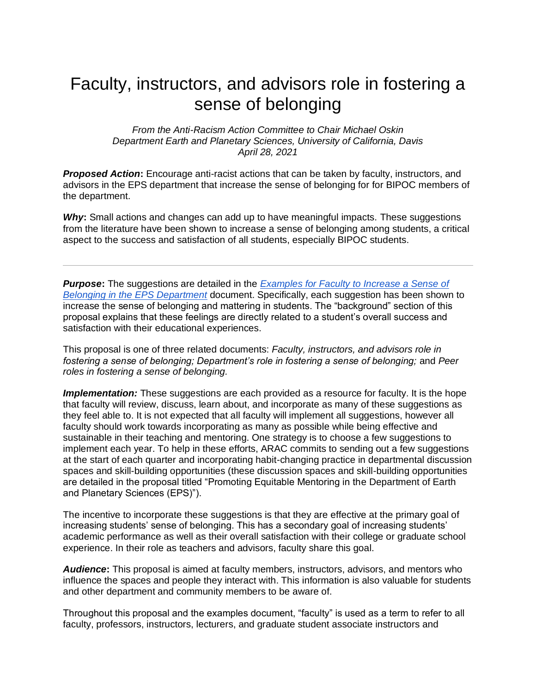## Faculty, instructors, and advisors role in fostering a sense of belonging

*From the Anti-Racism Action Committee to Chair Michael Oskin Department Earth and Planetary Sciences, University of California, Davis April 28, 2021*

*Proposed Action***:** Encourage anti-racist actions that can be taken by faculty, instructors, and advisors in the EPS department that increase the sense of belonging for for BIPOC members of the department.

*Why***:** Small actions and changes can add up to have meaningful impacts. These suggestions from the literature have been shown to increase a sense of belonging among students, a critical aspect to the success and satisfaction of all students, especially BIPOC students.

*Purpose***:** The suggestions are detailed in the *[Examples for Faculty to Increase a Sense of](https://docs.google.com/document/d/1t79Sk8xfXNm5fR4yHka5INkGWJ0Ppweqy-s_kSAgvmY/edit?usp=sharing)  [Belonging in the EPS Department](https://docs.google.com/document/d/1t79Sk8xfXNm5fR4yHka5INkGWJ0Ppweqy-s_kSAgvmY/edit?usp=sharing)* document. Specifically, each suggestion has been shown to increase the sense of belonging and mattering in students. The "background" section of this proposal explains that these feelings are directly related to a student's overall success and satisfaction with their educational experiences.

This proposal is one of three related documents: *Faculty, instructors, and advisors role in fostering a sense of belonging; Department's role in fostering a sense of belonging;* and *Peer roles in fostering a sense of belonging.*

*Implementation:* These suggestions are each provided as a resource for faculty. It is the hope that faculty will review, discuss, learn about, and incorporate as many of these suggestions as they feel able to. It is not expected that all faculty will implement all suggestions, however all faculty should work towards incorporating as many as possible while being effective and sustainable in their teaching and mentoring. One strategy is to choose a few suggestions to implement each year. To help in these efforts, ARAC commits to sending out a few suggestions at the start of each quarter and incorporating habit-changing practice in departmental discussion spaces and skill-building opportunities (these discussion spaces and skill-building opportunities are detailed in the proposal titled "Promoting Equitable Mentoring in the Department of Earth and Planetary Sciences (EPS)").

The incentive to incorporate these suggestions is that they are effective at the primary goal of increasing students' sense of belonging. This has a secondary goal of increasing students' academic performance as well as their overall satisfaction with their college or graduate school experience. In their role as teachers and advisors, faculty share this goal.

*Audience***:** This proposal is aimed at faculty members, instructors, advisors, and mentors who influence the spaces and people they interact with. This information is also valuable for students and other department and community members to be aware of.

Throughout this proposal and the examples document, "faculty" is used as a term to refer to all faculty, professors, instructors, lecturers, and graduate student associate instructors and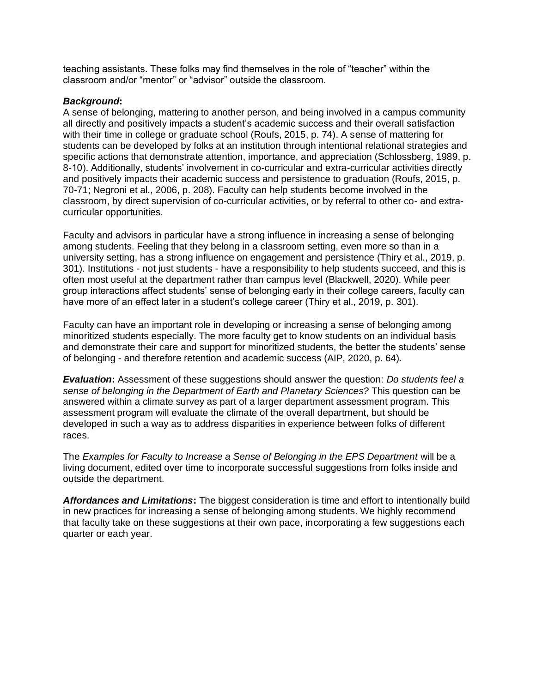teaching assistants. These folks may find themselves in the role of "teacher" within the classroom and/or "mentor" or "advisor" outside the classroom.

## *Background***:**

A sense of belonging, mattering to another person, and being involved in a campus community all directly and positively impacts a student's academic success and their overall satisfaction with their time in college or graduate school (Roufs, 2015, p. 74). A sense of mattering for students can be developed by folks at an institution through intentional relational strategies and specific actions that demonstrate attention, importance, and appreciation (Schlossberg, 1989, p. 8-10). Additionally, students' involvement in co-curricular and extra-curricular activities directly and positively impacts their academic success and persistence to graduation (Roufs, 2015, p. 70-71; Negroni et al., 2006, p. 208). Faculty can help students become involved in the classroom, by direct supervision of co-curricular activities, or by referral to other co- and extracurricular opportunities.

Faculty and advisors in particular have a strong influence in increasing a sense of belonging among students. Feeling that they belong in a classroom setting, even more so than in a university setting, has a strong influence on engagement and persistence (Thiry et al., 2019, p. 301). Institutions - not just students - have a responsibility to help students succeed, and this is often most useful at the department rather than campus level (Blackwell, 2020). While peer group interactions affect students' sense of belonging early in their college careers, faculty can have more of an effect later in a student's college career (Thiry et al., 2019, p. 301).

Faculty can have an important role in developing or increasing a sense of belonging among minoritized students especially. The more faculty get to know students on an individual basis and demonstrate their care and support for minoritized students, the better the students' sense of belonging - and therefore retention and academic success (AIP, 2020, p. 64).

*Evaluation***:** Assessment of these suggestions should answer the question: *Do students feel a sense of belonging in the Department of Earth and Planetary Sciences?* This question can be answered within a climate survey as part of a larger department assessment program. This assessment program will evaluate the climate of the overall department, but should be developed in such a way as to address disparities in experience between folks of different races.

The *Examples for Faculty to Increase a Sense of Belonging in the EPS Department* will be a living document, edited over time to incorporate successful suggestions from folks inside and outside the department.

*Affordances and Limitations***:** The biggest consideration is time and effort to intentionally build in new practices for increasing a sense of belonging among students. We highly recommend that faculty take on these suggestions at their own pace, incorporating a few suggestions each quarter or each year.